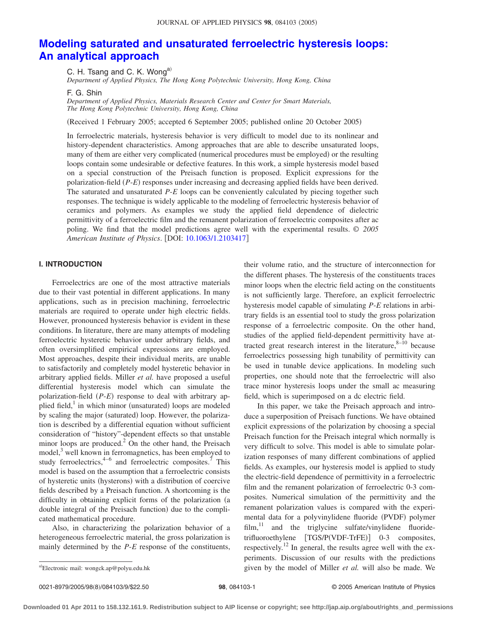# **[Modeling saturated and unsaturated ferroelectric hysteresis loops:](http://dx.doi.org/10.1063/1.2103417) [An analytical approach](http://dx.doi.org/10.1063/1.2103417)**

C. H. Tsang and C. K. Wong<sup>a)</sup>

*Department of Applied Physics, The Hong Kong Polytechnic University, Hong Kong, China*

F. G. Shin

*Department of Applied Physics, Materials Research Center and Center for Smart Materials, The Hong Kong Polytechnic University, Hong Kong, China*

Received 1 February 2005; accepted 6 September 2005; published online 20 October 2005-

In ferroelectric materials, hysteresis behavior is very difficult to model due to its nonlinear and history-dependent characteristics. Among approaches that are able to describe unsaturated loops, many of them are either very complicated (numerical procedures must be employed) or the resulting loops contain some undesirable or defective features. In this work, a simple hysteresis model based on a special construction of the Preisach function is proposed. Explicit expressions for the polarization-field (P-*E*) responses under increasing and decreasing applied fields have been derived. The saturated and unsaturated *P*-*E* loops can be conveniently calculated by piecing together such responses. The technique is widely applicable to the modeling of ferroelectric hysteresis behavior of ceramics and polymers. As examples we study the applied field dependence of dielectric permittivity of a ferroelectric film and the remanent polarization of ferroelectric composites after ac poling. We find that the model predictions agree well with the experimental results. © *2005 American Institute of Physics*. DOI: [10.1063/1.2103417](http://dx.doi.org/10.1063/1.2103417)

## **I. INTRODUCTION**

Ferroelectrics are one of the most attractive materials due to their vast potential in different applications. In many applications, such as in precision machining, ferroelectric materials are required to operate under high electric fields. However, pronounced hysteresis behavior is evident in these conditions. In literature, there are many attempts of modeling ferroelectric hysteretic behavior under arbitrary fields, and often oversimplified empirical expressions are employed. Most approaches, despite their individual merits, are unable to satisfactorily and completely model hysteretic behavior in arbitrary applied fields. Miller *et al.* have proposed a useful differential hysteresis model which can simulate the polarization-field (P-E) response to deal with arbitrary applied field, $<sup>1</sup>$  in which minor (unsaturated) loops are modeled</sup> by scaling the major (saturated) loop. However, the polarization is described by a differential equation without sufficient consideration of "history"-dependent effects so that unstable minor loops are produced. $^{2}$  On the other hand, the Preisach model,<sup>3</sup> well known in ferromagnetics, has been employed to study ferroelectrics, $4^{-6}$  and ferroelectric composites.<sup>7</sup> This model is based on the assumption that a ferroelectric consists of hysteretic units (hysterons) with a distribution of coercive fields described by a Preisach function. A shortcoming is the difficulty in obtaining explicit forms of the polarization (a double integral of the Preisach function) due to the complicated mathematical procedure.

Also, in characterizing the polarization behavior of a heterogeneous ferroelectric material, the gross polarization is mainly determined by the *P*-*E* response of the constituents,

their volume ratio, and the structure of interconnection for the different phases. The hysteresis of the constituents traces minor loops when the electric field acting on the constituents is not sufficiently large. Therefore, an explicit ferroelectric hysteresis model capable of simulating *P*-*E* relations in arbitrary fields is an essential tool to study the gross polarization response of a ferroelectric composite. On the other hand, studies of the applied field-dependent permittivity have attracted great research interest in the literature, $8-10$  because ferroelectrics possessing high tunability of permittivity can be used in tunable device applications. In modeling such properties, one should note that the ferroelectric will also trace minor hysteresis loops under the small ac measuring field, which is superimposed on a dc electric field.

In this paper, we take the Preisach approach and introduce a superposition of Preisach functions. We have obtained explicit expressions of the polarization by choosing a special Preisach function for the Preisach integral which normally is very difficult to solve. This model is able to simulate polarization responses of many different combinations of applied fields. As examples, our hysteresis model is applied to study the electric-field dependence of permittivity in a ferroelectric film and the remanent polarization of ferroelectric 0-3 composites. Numerical simulation of the permittivity and the remanent polarization values is compared with the experimental data for a polyvinylidene fluoride (PVDF) polymer  $film<sup>11</sup>$  and the triglycine sulfate/vinylidene fluoridetrifluoroethylene [TGS/P(VDF-TrFE)] 0-3 composites, respectively.12 In general, the results agree well with the experiments. Discussion of our results with the predictions given by the model of Miller *et al.* will also be made. We

0021-8979/2005/98(8)/084103/9/\$22.50

Electronic mail: wongck.ap@polyu.edu.hk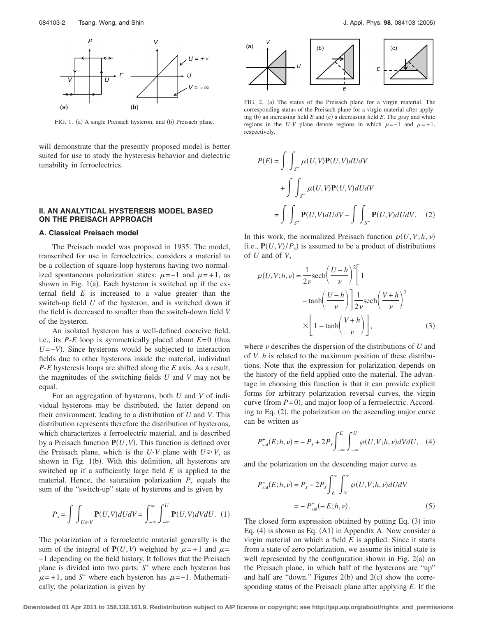

FIG. 1. (a) A single Preisach hysteron, and (b) Preisach plane.

will demonstrate that the presently proposed model is better suited for use to study the hysteresis behavior and dielectric tunability in ferroelectrics.

## **II. AN ANALYTICAL HYSTERESIS MODEL BASED ON THE PREISACH APPROACH**

## **A. Classical Preisach model**

The Preisach model was proposed in 1935. The model, transcribed for use in ferroelectrics, considers a material to be a collection of square-loop hysterons having two normalized spontaneous polarization states:  $\mu$ =−1 and  $\mu$ =+1, as shown in Fig. 1(a). Each hysteron is switched up if the external field *E* is increased to a value greater than the switch-up field *U* of the hysteron, and is switched down if the field is decreased to smaller than the switch-down field *V* of the hysteron.

An isolated hysteron has a well-defined coercive field, i.e., its  $P$ -*E* loop is symmetrically placed about  $E=0$  (thus *U* = −*V*). Since hysterons would be subjected to interaction fields due to other hysterons inside the material, individual *P*-*E* hysteresis loops are shifted along the *E* axis. As a result, the magnitudes of the switching fields *U* and *V* may not be equal.

For an aggregation of hysterons, both *U* and *V* of individual hysterons may be distributed, the latter depend on their environment, leading to a distribution of *U* and *V*. This distribution represents therefore the distribution of hysterons, which characterizes a ferroelectric material, and is described by a Preisach function  $P(U, V)$ . This function is defined over the Preisach plane, which is the  $U-V$  plane with  $U \ge V$ , as shown in Fig. 1(b). With this definition, all hysterons are switched up if a sufficiently large field *E* is applied to the material. Hence, the saturation polarization  $P_s$  equals the sum of the "switch-up" state of hysterons and is given by

$$
P_s = \int \int_{U \ge V} \mathbf{P}(U, V) dU dV = \int_{-\infty}^{\infty} \int_{-\infty}^{U} \mathbf{P}(U, V) dV dU.
$$
 (1)

The polarization of a ferroelectric material generally is the sum of the integral of  $P(U, V)$  weighted by  $\mu = +1$  and  $\mu =$ −1 depending on the field history. It follows that the Preisach plane is divided into two parts: *S*<sup>+</sup> where each hysteron has  $\mu = +1$ , and *S*<sup>−</sup> where each hysteron has  $\mu = -1$ . Mathematically, the polarization is given by



FIG. 2. (a) The status of the Preisach plane for a virgin material. The corresponding status of the Preisach plane for a virgin material after applying (b) an increasing field  $E$  and (c) a decreasing field  $E$ . The gray and white regions in the *U-V* plane denote regions in which  $\mu = -1$  and  $\mu = +1$ , respectively.

$$
P(E) = \int \int_{S^+} \mu(U, V) \mathbf{P}(U, V) dU dV
$$
  
+ 
$$
\int \int_{S^-} \mu(U, V) \mathbf{P}(U, V) dU dV
$$
  
= 
$$
\int \int_{S^+} \mathbf{P}(U, V) dU dV - \int \int_{S^-} \mathbf{P}(U, V) dU dV.
$$
 (2)

In this work, the normalized Preisach function  $\mathcal{P}(U, V; h, \nu)$ (i.e.,  $P(U, V)/P_s$ ) is assumed to be a product of distributions of *U* and of *V*,

$$
\wp(U, V; h, \nu) = \frac{1}{2\nu} \text{sech}\left(\frac{U - h}{\nu}\right)^2 \left[1 - \tanh\left(\frac{U - h}{\nu}\right)\right] \frac{1}{2\nu} \text{sech}\left(\frac{V + h}{\nu}\right)^2
$$

$$
\times \left[1 - \tanh\left(\frac{V + h}{\nu}\right)\right],
$$
(3)

where  $\nu$  describes the dispersion of the distributions of  $U$  and of *V*. *h* is related to the maximum position of these distributions. Note that the expression for polarization depends on the history of the field applied onto the material. The advantage in choosing this function is that it can provide explicit forms for arbitrary polarization reversal curves, the virgin curve (from  $P= 0$ ), and major loop of a ferroelectric. According to Eq. (2), the polarization on the ascending major curve can be written as

$$
P_{\rm sat}^+(E;h,\nu) = -P_s + 2P_s \int_{-\infty}^E \int_{-\infty}^U \wp(U,V;h,\nu)dVdU,\quad (4)
$$

and the polarization on the descending major curve as

$$
P_{\text{sat}}^{-}(E;h,\nu) = P_s - 2P_s \int_{E}^{\infty} \int_{V}^{\infty} \wp(U,V;h,\nu) dU dV
$$

$$
= -P_{\text{sat}}^{+}(-E;h,\nu). \tag{5}
$$

The closed form expression obtained by putting Eq. (3) into Eq. (4) is shown as Eq. (A1) in Appendix A. Now consider a virgin material on which a field *E* is applied. Since it starts from a state of zero polarization, we assume its initial state is well represented by the configuration shown in Fig.  $2(a)$  on the Preisach plane, in which half of the hysterons are "up" and half are "down." Figures  $2(b)$  and  $2(c)$  show the corresponding status of the Preisach plane after applying *E*. If the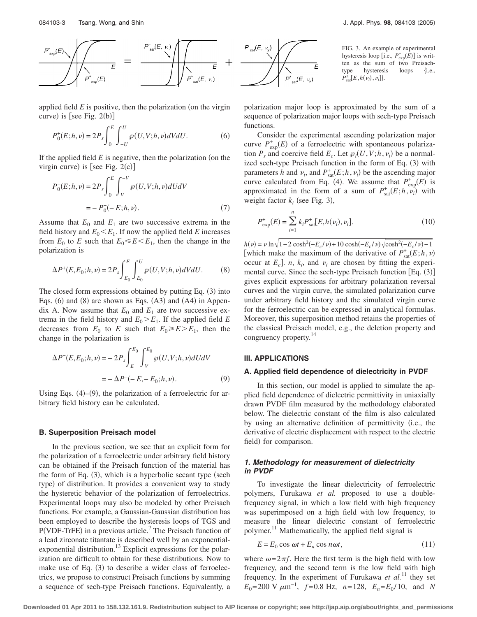

applied field  $E$  is positive, then the polarization (on the virgin curve) is [see Fig.  $2(b)$ ]

$$
P_0^+(E;h,\nu) = 2P_s \int_0^E \int_{-U}^U \wp(U,V;h,\nu)dVdU.
$$
 (6)

If the applied field  $E$  is negative, then the polarization (on the virgin curve) is [see Fig.  $2(c)$ ]

$$
P_0(E; h, \nu) = 2P_s \int_0^E \int_V^{-V} \varphi(U, V; h, \nu) dU dV
$$
  
=  $- P_0^+ (-E; h, \nu).$  (7)

Assume that  $E_0$  and  $E_1$  are two successive extrema in the field history and  $E_0 \leq E_1$ . If now the applied field *E* increases from  $E_0$  to *E* such that  $E_0 \leq E \leq E_1$ , then the change in the polarization is

$$
\Delta P^{+}(E, E_{0}; h, \nu) = 2P_{s} \int_{E_{0}}^{E} \int_{E_{0}}^{U} \wp(U, V; h, \nu) dV dU.
$$
 (8)

The closed form expressions obtained by putting Eq.  $(3)$  into Eqs.  $(6)$  and  $(8)$  are shown as Eqs.  $(A3)$  and  $(A4)$  in Appendix A. Now assume that  $E_0$  and  $E_1$  are two successive extrema in the field history and  $E_0 \ge E_1$ . If the applied field *E* decreases from  $E_0$  to *E* such that  $E_0 \ge E \ge E_1$ , then the change in the polarization is

$$
\Delta P^{-}(E, E_{0}; h, \nu) = -2P_{s} \int_{E}^{E_{0}} \int_{V}^{E_{0}} \wp(U, V; h, \nu) dU dV
$$

$$
= -\Delta P^{+}(-E, -E_{0}; h, \nu).
$$
(9)

Using Eqs.  $(4)$ – $(9)$ , the polarization of a ferroelectric for arbitrary field history can be calculated.

### **B. Superposition Preisach model**

In the previous section, we see that an explicit form for the polarization of a ferroelectric under arbitrary field history can be obtained if the Preisach function of the material has the form of Eq. (3), which is a hyperbolic secant type (sech type) of distribution. It provides a convenient way to study the hysteretic behavior of the polarization of ferroelectrics. Experimental loops may also be modeled by other Preisach functions. For example, a Gaussian-Gaussian distribution has been employed to describe the hysteresis loops of TGS and  $P(VDF-TrFE)$  in a previous article.<sup>7</sup> The Preisach function of a lead zirconate titantate is described well by an exponentialexponential distribution.<sup>13</sup> Explicit expressions for the polarization are difficult to obtain for these distributions. Now to make use of Eq.  $(3)$  to describe a wider class of ferroelectrics, we propose to construct Preisach functions by summing a sequence of sech-type Preisach functions. Equivalently, a



polarization major loop is approximated by the sum of a sequence of polarization major loops with sech-type Preisach functions.

Consider the experimental ascending polarization major curve  $P_{\text{exp}}^+(E)$  of a ferroelectric with spontaneous polarization  $P_s$  and coercive field  $E_c$ . Let  $\varphi_i(U, V; h, \nu_i)$  be a normalized sech-type Preisach function in the form of Eq. (3) with parameters *h* and  $\nu_i$ , and  $P_{\text{sat}}^+(E;h,\nu_i)$  be the ascending major curve calculated from Eq. (4). We assume that  $P_{exp}^{+}(E)$  is approximated in the form of a sum of  $P_{\text{sat}}^+(E;h,\nu_i)$  with weight factor  $k_i$  (see Fig. 3),

$$
P_{\text{exp}}^{+}(E) = \sum_{i=1}^{n} k_i P_{\text{sat}}^{+}[E, h(\nu_i), \nu_i].
$$
 (10)

 $h(\nu) = \nu \ln \sqrt{1 - 2 \cosh^2(-E_c/\nu) + 10 \cosh(-E_c/\nu) \sqrt{\cosh^2(-E_c/\nu) - 1}}$ [which make the maximum of the derivative of  $P_{\text{sat}}^{+}(E;h,\nu)$ occur at  $E_c$ ]. *n*,  $k_i$ , and  $\nu_i$  are chosen by fitting the experimental curve. Since the sech-type Preisach function [Eq. (3)] gives explicit expressions for arbitrary polarization reversal curves and the virgin curve, the simulated polarization curve under arbitrary field history and the simulated virgin curve for the ferroelectric can be expressed in analytical formulas. Moreover, this superposition method retains the properties of the classical Preisach model, e.g., the deletion property and congruency property.<sup>14</sup>

## **III. APPLICATIONS**

### **A. Applied field dependence of dielectricity in PVDF**

In this section, our model is applied to simulate the applied field dependence of dielectric permittivity in uniaxially drawn PVDF film measured by the methodology elaborated below. The dielectric constant of the film is also calculated by using an alternative definition of permittivity i.e., the derivative of electric displacement with respect to the electric field) for comparison.

# *1. Methodology for measurement of dielectricity in PVDF*

To investigate the linear dielectricity of ferroelectric polymers, Furukawa *et al.* proposed to use a doublefrequency signal, in which a low field with high frequency was superimposed on a high field with low frequency, to measure the linear dielectric constant of ferroelectric polymer.11 Mathematically, the applied field signal is

$$
E = E_0 \cos \omega t + E_n \cos n\omega t, \qquad (11)
$$

where  $\omega = 2\pi f$ . Here the first term is the high field with low frequency, and the second term is the low field with high frequency. In the experiment of Furukawa *et al.*<sup>11</sup> they set  $E_0 = 200 \text{ V } \mu \text{m}^{-1}$ ,  $f = 0.8 \text{ Hz}$ ,  $n = 128$ ,  $E_n = E_0 / 10$ , and *N*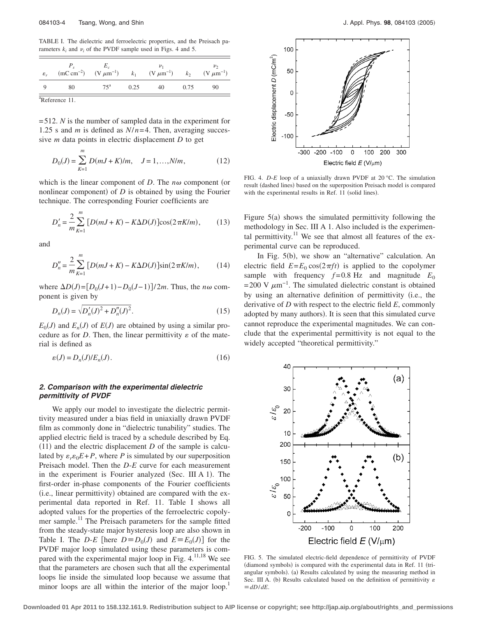TABLE I. The dielectric and ferroelectric properties, and the Preisach parameters  $k_i$  and  $\nu_i$  of the PVDF sample used in Figs. 4 and 5.

| $\varepsilon_r$            |    | $(mC cm^{-2})$ $(V \mu m^{-1})$ | $k_1$ | $(V \mu m^{-1})$ | k <sub>2</sub> | $(V \mu m^{-1})$ |  |  |
|----------------------------|----|---------------------------------|-------|------------------|----------------|------------------|--|--|
|                            | 80 | $75^a$                          | 0.25  | 40               | 0.75           | 90               |  |  |
| <sup>a</sup> Reference 11. |    |                                 |       |                  |                |                  |  |  |

= 512. *N* is the number of sampled data in the experiment for 1.25 s and *m* is defined as  $N/n=4$ . Then, averaging successive *m* data points in electric displacement *D* to get

$$
D_0(J) = \sum_{K=1}^{m} D(mJ + K)/m, \quad J = 1, ..., N/m,
$$
 (12)

which is the linear component of  $D$ . The  $n\omega$  component (or nonlinear component) of  $D$  is obtained by using the Fourier technique. The corresponding Fourier coefficients are

$$
D'_{n} = \frac{2}{m} \sum_{K=1}^{m} [D(mJ + K) - K\Delta D(J)] \cos(2\pi K/m), \quad (13)
$$

and

$$
D''_n = \frac{2}{m} \sum_{K=1}^m [D(mJ + K) - K\Delta D(J)] \sin(2\pi K/m), \qquad (14)
$$

where  $\Delta D(J) = [D_0(J+1) - D_0(J-1)]/2m$ . Thus, the *n* $\omega$  component is given by

$$
D_n(J) = \sqrt{D'_n(J)^2 + D''_n(J)^2}.
$$
\n(15)

 $E_0(J)$  and  $E_n(J)$  of  $E(J)$  are obtained by using a similar procedure as for  $D$ . Then, the linear permittivity  $\varepsilon$  of the material is defined as

$$
\varepsilon(J) = D_n(J)/E_n(J). \tag{16}
$$

## *2. Comparison with the experimental dielectric permittivity of PVDF*

We apply our model to investigate the dielectric permittivity measured under a bias field in uniaxially drawn PVDF film as commonly done in "dielectric tunability" studies. The applied electric field is traced by a schedule described by Eq.  $(11)$  and the electric displacement *D* of the sample is calculated by  $\varepsilon_{r} \varepsilon_{0} E + P$ , where *P* is simulated by our superposition Preisach model. Then the *D*-*E* curve for each measurement in the experiment is Fourier analyzed (Sec. III A 1). The first-order in-phase components of the Fourier coefficients (i.e., linear permittivity) obtained are compared with the experimental data reported in Ref. 11. Table I shows all adopted values for the properties of the ferroelectric copolymer sample.<sup>11</sup> The Preisach parameters for the sample fitted from the steady-state major hysteresis loop are also shown in Table I. The *D-E* [here  $D \equiv D_0(J)$  and  $E \equiv E_0(J)$ ] for the PVDF major loop simulated using these parameters is compared with the experimental major loop in Fig.  $4.11,18$  We see that the parameters are chosen such that all the experimental loops lie inside the simulated loop because we assume that minor loops are all within the interior of the major loop.<sup>1</sup>



FIG. 4. *D*-*E* loop of a uniaxially drawn PVDF at 20 °C. The simulation result (dashed lines) based on the superposition Preisach model is compared with the experimental results in Ref. 11 (solid lines).

Figure 5(a) shows the simulated permittivity following the methodology in Sec. III A 1. Also included is the experimental permittivity.<sup>11</sup> We see that almost all features of the experimental curve can be reproduced.

In Fig. 5(b), we show an "alternative" calculation. An electric field  $E = E_0 \cos(2\pi ft)$  is applied to the copolymer sample with frequency  $f=0.8$  Hz and magnitude  $E_0$  $= 200$  V  $\mu$ m<sup>-1</sup>. The simulated dielectric constant is obtained by using an alternative definition of permittivity i.e., the derivative of *D* with respect to the electric field *E*, commonly adopted by many authors). It is seen that this simulated curve cannot reproduce the experimental magnitudes. We can conclude that the experimental permittivity is not equal to the widely accepted "theoretical permittivity."



FIG. 5. The simulated electric-field dependence of permittivity of PVDF (diamond symbols) is compared with the experimental data in Ref. 11 (triangular symbols). (a) Results calculated by using the measuring method in Sec. III A. (b) Results calculated based on the definition of permittivity  $\varepsilon$  $\equiv$ *dD*/*dE*.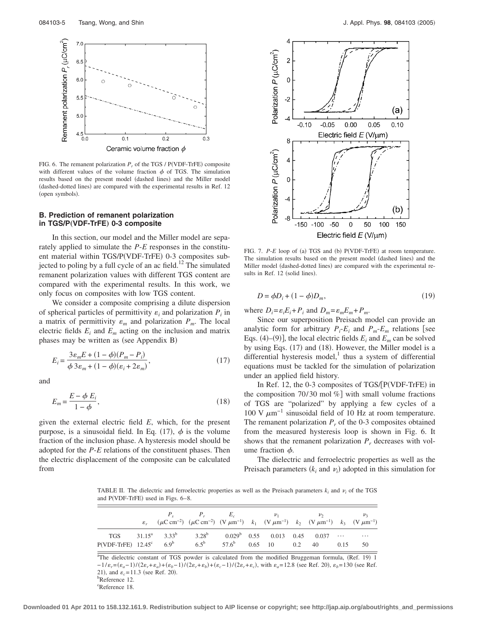

FIG. 6. The remanent polarization  $P_r$  of the TGS / P(VDF-TrFE) composite with different values of the volume fraction  $\phi$  of TGS. The simulation results based on the present model (dashed lines) and the Miller model (dashed-dotted lines) are compared with the experimental results in Ref. 12 (open symbols).

## **B. Prediction of remanent polarization in TGS/P**"**VDF-TrFE**… **0-3 composite**

In this section, our model and the Miller model are separately applied to simulate the *P*-*E* responses in the constituent material within TGS/P(VDF-TrFE) 0-3 composites subjected to poling by a full cycle of an ac field.<sup>12</sup> The simulated remanent polarization values with different TGS content are compared with the experimental results. In this work, we only focus on composites with low TGS content.

We consider a composite comprising a dilute dispersion of spherical particles of permittivity  $\varepsilon_i$  and polarization  $P_i$  in a matrix of permittivity  $\varepsilon_m$  and polarization  $P_m$ . The local electric fields  $E_i$  and  $E_m$  acting on the inclusion and matrix phases may be written as (see Appendix B)

$$
E_i = \frac{3\varepsilon_m E + (1 - \phi)(P_m - P_i)}{\phi 3\varepsilon_m + (1 - \phi)(\varepsilon_i + 2\varepsilon_m)},
$$
\n(17)

and

$$
E_m = \frac{E - \phi E_i}{1 - \phi},\tag{18}
$$

given the external electric field *E*, which, for the present purpose, is a sinusoidal field. In Eq. (17),  $\phi$  is the volume fraction of the inclusion phase. A hysteresis model should be adopted for the *P*-*E* relations of the constituent phases. Then the electric displacement of the composite can be calculated from



FIG. 7. P-E loop of (a) TGS and (b) P(VDF-TrFE) at room temperature. The simulation results based on the present model (dashed lines) and the Miller model (dashed-dotted lines) are compared with the experimental results in Ref. 12 (solid lines).

$$
D = \phi D_i + (1 - \phi)D_m,\tag{19}
$$

where  $D_i = \varepsilon_i E_i + P_i$  and  $D_m = \varepsilon_m E_m + P_m$ .

Since our superposition Preisach model can provide an analytic form for arbitrary  $P_i$ - $E_i$  and  $P_m$ - $E_m$  relations [see Eqs. (4)–(9)], the local electric fields  $E_i$  and  $E_m$  can be solved by using Eqs. (17) and (18). However, the Miller model is a differential hysteresis model, $\frac{1}{1}$  thus a system of differential equations must be tackled for the simulation of polarization under an applied field history.

In Ref. 12, the 0-3 composites of TGS/[P(VDF-TrFE) in the composition 70/30 mol  $%$ ] with small volume fractions of TGS are "polarized" by applying a few cycles of a 100 V  $\mu$ m<sup>-1</sup> sinusoidal field of 10 Hz at room temperature. The remanent polarization  $P_r$  of the 0-3 composites obtained from the measured hysteresis loop is shown in Fig. 6. It shows that the remanent polarization  $P_r$  decreases with volume fraction  $\phi$ .

The dielectric and ferroelectric properties as well as the Preisach parameters  $(k_i \text{ and } v_i)$  adopted in this simulation for

TABLE II. The dielectric and ferroelectric properties as well as the Preisach parameters  $k_i$  and  $\nu_i$  of the TGS and P(VDF-TrFE) used in Figs. 6-8.

|                                                                          | $\varepsilon_r$ ( $\mu$ C cm <sup>-2</sup> ) ( $\mu$ C cm <sup>-2</sup> ) (V $\mu$ m <sup>-1</sup> ) $k_1$ (V $\mu$ m <sup>-1</sup> ) $k_2$ (V $\mu$ m <sup>-1</sup> ) $k_3$ (V $\mu$ m <sup>-1</sup> ) | $P_e$ $P_r$ $E_c$ $v_1$ $v_2$ $v_3$ |  |  |  |    |
|--------------------------------------------------------------------------|---------------------------------------------------------------------------------------------------------------------------------------------------------------------------------------------------------|-------------------------------------|--|--|--|----|
| P(VDF-TrFE) $12.45^c$ $6.9^b$ $6.5^b$ $57.6^b$ $0.65$ 10 $0.2$ 40 $0.15$ | TGS $31.15^a$ $3.33^b$ $3.28^b$ $0.029^b$ $0.55$ $0.013$ $0.45$ $0.037$ $\cdots$ $\cdots$                                                                                                               |                                     |  |  |  | 50 |

<sup>a</sup>The dielectric constant of TGS powder is calculated from the modified Bruggeman formula, (Ref. 19) 1  $-1/\varepsilon_r = (\varepsilon_a - 1)/(2\varepsilon_r + \varepsilon_a) + (\varepsilon_b - 1)/(2\varepsilon_r + \varepsilon_b) + (\varepsilon_c - 1)/(2\varepsilon_r + \varepsilon_c)$ , with  $\varepsilon_a = 12.8$  (see Ref. 20),  $\varepsilon_b = 130$  (see Ref. 21), and  $\varepsilon_c = 11.3$  (see Ref. 20).

Reference 12.

c Reference 18.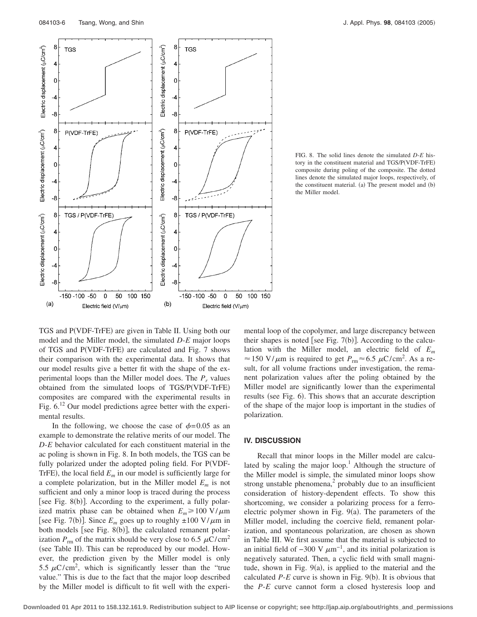

FIG. 8. The solid lines denote the simulated *D*-*E* history in the constituent material and TGS/P(VDF-TrFE) composite during poling of the composite. The dotted lines denote the simulated major loops, respectively, of the constituent material. (a) The present model and (b) the Miller model.

TGS and P(VDF-TrFE) are given in Table II. Using both our model and the Miller model, the simulated *D*-*E* major loops of TGS and P(VDF-TrFE) are calculated and Fig. 7 shows their comparison with the experimental data. It shows that our model results give a better fit with the shape of the experimental loops than the Miller model does. The  $P_r$  values obtained from the simulated loops of TGS/P(VDF-TrFE) composites are compared with the experimental results in Fig.  $6^{12}$  Our model predictions agree better with the experimental results.

In the following, we choose the case of  $\phi = 0.05$  as an example to demonstrate the relative merits of our model. The *D*-*E* behavior calculated for each constituent material in the ac poling is shown in Fig. 8. In both models, the TGS can be fully polarized under the adopted poling field. For P(VDF-TrFE), the local field  $E_m$  in our model is sufficiently large for a complete polarization, but in the Miller model  $E_m$  is not sufficient and only a minor loop is traced during the process [see Fig. 8(b)]. According to the experiment, a fully polarized matrix phase can be obtained when  $E_m \ge 100 \text{ V}/\mu\text{m}$ [see Fig. 7(b)]. Since  $E_m$  goes up to roughly  $\pm 100 \text{ V}/\mu \text{m}$  in both models [see Fig. 8(b)], the calculated remanent polarization  $P_{\rm rm}$  of the matrix should be very close to 6.5  $\mu$ C/cm<sup>2</sup> (see Table II). This can be reproduced by our model. However, the prediction given by the Miller model is only 5.5  $\mu$ C/cm<sup>2</sup>, which is significantly lesser than the "true value." This is due to the fact that the major loop described by the Miller model is difficult to fit well with the experimental loop of the copolymer, and large discrepancy between their shapes is noted [see Fig.  $7(b)$ ]. According to the calculation with the Miller model, an electric field of *Em*  $\approx$  150 V/ $\mu$ m is required to get  $P_{\text{rm}} \approx 6.5 \ \mu \text{C/cm}^2$ . As a result, for all volume fractions under investigation, the remanent polarization values after the poling obtained by the Miller model are significantly lower than the experimental results (see Fig. 6). This shows that an accurate description of the shape of the major loop is important in the studies of polarization.

### **IV. DISCUSSION**

Recall that minor loops in the Miller model are calculated by scaling the major loop.<sup>1</sup> Although the structure of the Miller model is simple, the simulated minor loops show strong unstable phenomena, $\frac{2}{3}$  probably due to an insufficient consideration of history-dependent effects. To show this shortcoming, we consider a polarizing process for a ferroelectric polymer shown in Fig.  $9(a)$ . The parameters of the Miller model, including the coercive field, remanent polarization, and spontaneous polarization, are chosen as shown in Table III. We first assume that the material is subjected to an initial field of  $-300$  V  $\mu$ m<sup>-1</sup>, and its initial polarization is negatively saturated. Then, a cyclic field with small magnitude, shown in Fig.  $9(a)$ , is applied to the material and the calculated  $P$ - $E$  curve is shown in Fig. 9(b). It is obvious that the *P*-*E* curve cannot form a closed hysteresis loop and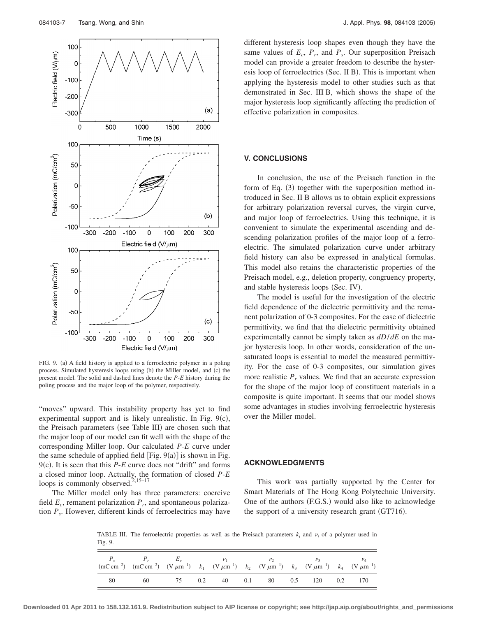

FIG. 9. (a) A field history is applied to a ferroelectric polymer in a poling process. Simulated hysteresis loops using (b) the Miller model, and (c) the present model. The solid and dashed lines denote the *P*-*E* history during the poling process and the major loop of the polymer, respectively.

"moves" upward. This instability property has yet to find experimental support and is likely unrealistic. In Fig. 9(c), the Preisach parameters (see Table III) are chosen such that the major loop of our model can fit well with the shape of the corresponding Miller loop. Our calculated *P*-*E* curve under the same schedule of applied field  $[Fig. 9(a)]$  is shown in Fig. 9(c). It is seen that this *P-E* curve does not "drift" and forms a closed minor loop. Actually, the formation of closed *P*-*E* loops is commonly observed. $2,15-17$ 

The Miller model only has three parameters: coercive field  $E_c$ , remanent polarization  $P_r$ , and spontaneous polarization *Ps*. However, different kinds of ferroelectrics may have different hysteresis loop shapes even though they have the same values of  $E_c$ ,  $P_r$ , and  $P_s$ . Our superposition Preisach model can provide a greater freedom to describe the hysteresis loop of ferroelectrics (Sec. II B). This is important when applying the hysteresis model to other studies such as that demonstrated in Sec. III B, which shows the shape of the major hysteresis loop significantly affecting the prediction of effective polarization in composites.

# **V. CONCLUSIONS**

In conclusion, the use of the Preisach function in the form of Eq. (3) together with the superposition method introduced in Sec. II B allows us to obtain explicit expressions for arbitrary polarization reversal curves, the virgin curve, and major loop of ferroelectrics. Using this technique, it is convenient to simulate the experimental ascending and descending polarization profiles of the major loop of a ferroelectric. The simulated polarization curve under arbitrary field history can also be expressed in analytical formulas. This model also retains the characteristic properties of the Preisach model, e.g., deletion property, congruency property, and stable hysteresis loops (Sec. IV).

The model is useful for the investigation of the electric field dependence of the dielectric permittivity and the remanent polarization of 0-3 composites. For the case of dielectric permittivity, we find that the dielectric permittivity obtained experimentally cannot be simply taken as *dD*/*dE* on the major hysteresis loop. In other words, consideration of the unsaturated loops is essential to model the measured permittivity. For the case of 0-3 composites, our simulation gives more realistic  $P_r$  values. We find that an accurate expression for the shape of the major loop of constituent materials in a composite is quite important. It seems that our model shows some advantages in studies involving ferroelectric hysteresis over the Miller model.

#### **ACKNOWLEDGMENTS**

This work was partially supported by the Center for Smart Materials of The Hong Kong Polytechnic University. One of the authors (F.G.S.) would also like to acknowledge the support of a university research grant (GT716).

TABLE III. The ferroelectric properties as well as the Preisach parameters  $k_i$  and  $\nu_i$  of a polymer used in Fig. 9.

|    | $P_s$ $P_r$ $E_c$ $v_1$ $v_2$ $v_3$ $v_4$<br>$(mC \, cm^{-2})$ $(mC \, cm^{-2})$ $(V \, \mu m^{-1})$ $k_1$ $(V \, \mu m^{-1})$ $k_2$ $(V \, \mu m^{-1})$ $k_3$ $(V \, \mu m^{-1})$ $k_4$ $(V \, \mu m^{-1})$ |  |  |  |  |  |
|----|--------------------------------------------------------------------------------------------------------------------------------------------------------------------------------------------------------------|--|--|--|--|--|
| 80 | 60 75 0.2 40 0.1 80 0.5 120 0.2 170                                                                                                                                                                          |  |  |  |  |  |

**Downloaded 01 Apr 2011 to 158.132.161.9. Redistribution subject to AIP license or copyright; see http://jap.aip.org/about/rights\_and\_permissions**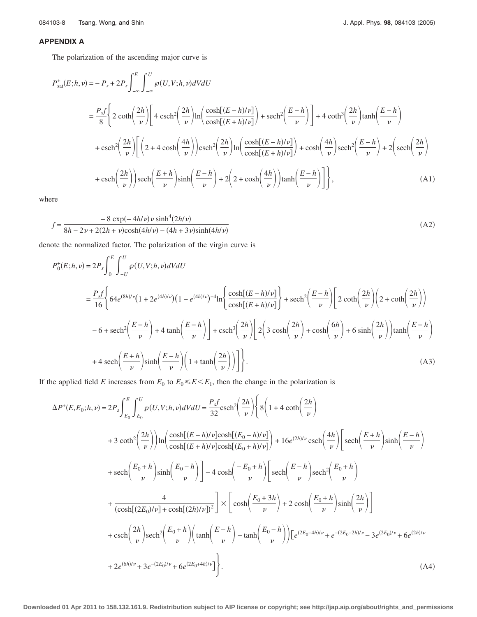# **APPENDIX A**

The polarization of the ascending major curve is

$$
P_{\text{sat}}^{+}(E;h,\nu) = -P_{s} + 2P_{s} \int_{-\infty}^{E} \int_{-\infty}^{U} \wp(U,V;h,\nu) dV dU
$$
  
\n
$$
= \frac{P_{s}f}{8} \Biggl\{ 2 \coth\left(\frac{2h}{\nu}\right) \Biggl[ 4 \operatorname{csch}^{2}\left(\frac{2h}{\nu}\right) \ln\left(\frac{\cosh[(E-h)/\nu]}{\cosh[(E+h)/\nu]} \right) + \operatorname{sech}^{2}\left(\frac{E-h}{\nu}\right) \Biggr] + 4 \coth^{3}\left(\frac{2h}{\nu}\right) \tanh\left(\frac{E-h}{\nu}\right)
$$
  
\n
$$
+ \operatorname{csch}^{2}\left(\frac{2h}{\nu}\right) \Biggl[ \left(2 + 4 \cosh\left(\frac{4h}{\nu}\right)\right) \operatorname{csch}^{2}\left(\frac{2h}{\nu}\right) \ln\left(\frac{\cosh[(E-h)/\nu]}{\cosh[(E+h)/\nu]} \right) + \cosh\left(\frac{4h}{\nu}\right) \operatorname{sech}^{2}\left(\frac{E-h}{\nu}\right) + 2 \left( \operatorname{sech}\left(\frac{2h}{\nu}\right) \operatorname{sech}^{2}\left(\frac{E+h}{\nu}\right) \right) \sinh\left(\frac{E-h}{\nu}\right) + 2 \left( 2 + \cosh\left(\frac{4h}{\nu}\right) \operatorname{tanh}\left(\frac{E-h}{\nu}\right) \Biggr] \Biggr\}, \tag{A1}
$$

where

$$
f = \frac{-8 \exp(-4h/\nu) \nu \sinh^4(2h/\nu)}{8h - 2\nu + 2(2h + \nu)\cosh(4h/\nu) - (4h + 3\nu)\sinh(4h/\nu)}
$$
(A2)

denote the normalized factor. The polarization of the virgin curve is

$$
P_0^+(E;h,\nu) = 2P_s \int_0^E \int_{-U}^U \wp(U,V;h,\nu)dVdU
$$
  
\n
$$
= \frac{P_s f}{16} \Bigg\{ 64e^{(8h)/\nu} \Big( 1 + 2e^{(4h)/\nu} \Big) \Big( 1 - e^{(4h)/\nu} \Big) - 4 \ln \Bigg\{ \frac{\cosh[(E-h)/\nu]}{\cosh[(E+h)/\nu]} \Bigg\} + \operatorname{sech}^2 \Big( \frac{E-h}{\nu} \Big) \Bigg[ 2 \coth \Big( \frac{2h}{\nu} \Big) \Big( 2 + \coth \Big( \frac{2h}{\nu} \Big) \Big) \Bigg]
$$
  
\n
$$
-6 + \operatorname{sech}^2 \Big( \frac{E-h}{\nu} \Big) + 4 \tanh \Big( \frac{E-h}{\nu} \Big) \Bigg] + \operatorname{csch}^3 \Big( \frac{2h}{\nu} \Big) \Bigg[ 2 \Big( 3 \cosh \Big( \frac{2h}{\nu} \Big) + \cosh \Big( \frac{6h}{\nu} \Big) + 6 \sinh \Big( \frac{2h}{\nu} \Big) \Big) \tanh \Big( \frac{E-h}{\nu} \Big) \Bigg]
$$
  
\n
$$
+ 4 \operatorname{sech} \Big( \frac{E+h}{\nu} \Big) \sinh \Big( \frac{E-h}{\nu} \Big) \Bigg[ 1 + \tanh \Big( \frac{2h}{\nu} \Big) \Bigg] \Bigg].
$$
 (A3)

If the applied field *E* increases from  $E_0$  to  $E_0 \leq E \leq E_1$ , then the change in the polarization is

$$
\Delta P^{+}(E, E_{0}; h, \nu) = 2P_{s} \int_{E_{0}}^{E} \int_{E_{0}}^{U} \varphi(U, V; h, \nu) dV dU = \frac{P_{s}f}{32} \text{csch}^{2} \left(\frac{2h}{\nu}\right) \left\{ 8\left(1 + 4 \coth\left(\frac{2h}{\nu}\right) \right) \right.
$$
  
+  $3 \coth^{2} \left(\frac{2h}{\nu}\right) \ln\left(\frac{\cosh[(E - h)/\nu] \cosh[(E_{0} - h)/\nu]}{\cosh[(E + h)/\nu] \cosh[(E_{0} + h)/\nu]} \right) + 16e^{(2h)/\nu} \text{csch}\left(\frac{4h}{\nu}\right) \left[\text{sech}\left(\frac{E + h}{\nu}\right) \sinh\left(\frac{E - h}{\nu}\right) \right]$   
+  $\text{sech}\left(\frac{E_{0} + h}{\nu}\right) \sinh\left(\frac{E_{0} - h}{\nu}\right) \right] - 4 \cosh\left(\frac{-E_{0} + h}{\nu}\right) \left[\text{sech}\left(\frac{E - h}{\nu}\right) \text{sech}^{2} \left(\frac{E_{0} + h}{\nu}\right) \right]$   
+  $\frac{4}{(\cosh[(2E_{0})/\nu] + \cosh[(2h)/\nu])^{2}} \right] \times \left[\cosh\left(\frac{E_{0} + 3h}{\nu}\right) + 2 \cosh\left(\frac{E_{0} + h}{\nu}\right) \sinh\left(\frac{2h}{\nu}\right) \right]$   
+  $\text{csch}\left(\frac{2h}{\nu}\right) \text{sech}^{2} \left(\frac{E_{0} + h}{\nu}\right) \left(\tanh\left(\frac{E - h}{\nu}\right) - \tanh\left(\frac{E_{0} - h}{\nu}\right)\right) \left[e^{(2E_{0} - 4h)/\nu} + e^{-(2E_{0} - 2h)/\nu} - 3e^{(2E_{0})/\nu} + 6e^{(2h)/\nu} \right]$   
+  $2e^{(6h)/\nu} + 3e^{-(2E_{0})/\nu} + 6e^{(2E_{0} + 4h)/\nu} \right]$ . (A4)